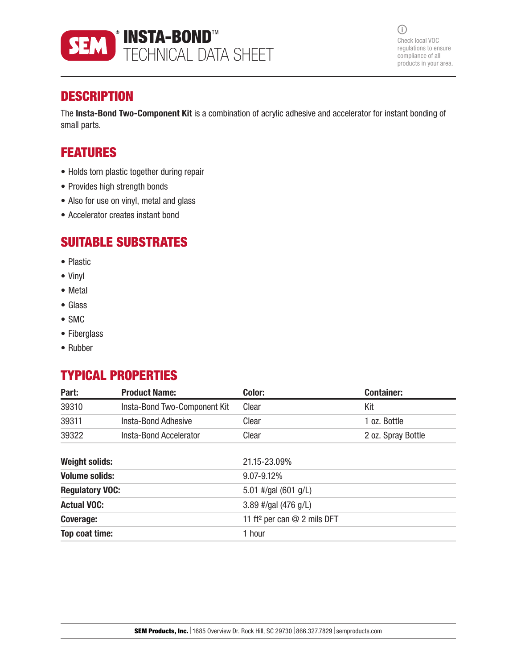

 $\odot$ Check local VOC regulations to ensure compliance of all products in your area.

## **DESCRIPTION**

The Insta-Bond Two-Component Kit is a combination of acrylic adhesive and accelerator for instant bonding of small parts.

## FEATURES

- Holds torn plastic together during repair
- Provides high strength bonds
- Also for use on vinyl, metal and glass
- Accelerator creates instant bond

### SUITABLE SUBSTRATES

- Plastic
- Vinyl
- Metal
- Glass
- SMC
- Fiberglass
- Rubber

## TYPICAL PROPERTIES

| Part:                  | <b>Product Name:</b>         | Color:                                    | <b>Container:</b>  |
|------------------------|------------------------------|-------------------------------------------|--------------------|
| 39310                  | Insta-Bond Two-Component Kit | Clear                                     | Kit                |
| 39311                  | Insta-Bond Adhesive          | Clear                                     | 1 oz. Bottle       |
| 39322                  | Insta-Bond Accelerator       | Clear                                     | 2 oz. Spray Bottle |
| <b>Weight solids:</b>  |                              | 21.15-23.09%                              |                    |
| <b>Volume solids:</b>  |                              | 9.07-9.12%                                |                    |
| <b>Regulatory VOC:</b> |                              | 5.01 #/gal $(601 g/L)$                    |                    |
| <b>Actual VOC:</b>     |                              | 3.89 #/gal (476 g/L)                      |                    |
| <b>Coverage:</b>       |                              | 11 ft <sup>2</sup> per can $@$ 2 mils DFT |                    |
| Top coat time:         |                              | 1 hour                                    |                    |